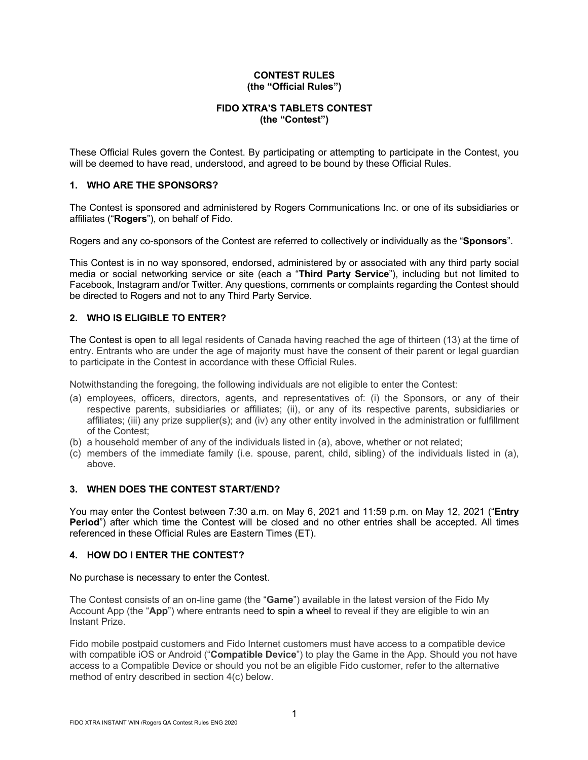### **CONTEST RULES (the "Official Rules")**

# **FIDO XTRA'S TABLETS CONTEST (the "Contest")**

These Official Rules govern the Contest. By participating or attempting to participate in the Contest, you will be deemed to have read, understood, and agreed to be bound by these Official Rules.

### **1. WHO ARE THE SPONSORS?**

The Contest is sponsored and administered by Rogers Communications Inc. or one of its subsidiaries or affiliates ("**Rogers**"), on behalf of Fido.

Rogers and any co-sponsors of the Contest are referred to collectively or individually as the "**Sponsors**".

This Contest is in no way sponsored, endorsed, administered by or associated with any third party social media or social networking service or site (each a "**Third Party Service**"), including but not limited to Facebook, Instagram and/or Twitter. Any questions, comments or complaints regarding the Contest should be directed to Rogers and not to any Third Party Service.

## **2. WHO IS ELIGIBLE TO ENTER?**

The Contest is open to all legal residents of Canada having reached the age of thirteen (13) at the time of entry. Entrants who are under the age of majority must have the consent of their parent or legal guardian to participate in the Contest in accordance with these Official Rules.

Notwithstanding the foregoing, the following individuals are not eligible to enter the Contest:

- (a) employees, officers, directors, agents, and representatives of: (i) the Sponsors, or any of their respective parents, subsidiaries or affiliates; (ii), or any of its respective parents, subsidiaries or affiliates; (iii) any prize supplier(s); and (iv) any other entity involved in the administration or fulfillment of the Contest;
- (b) a household member of any of the individuals listed in (a), above, whether or not related;
- (c) members of the immediate family (i.e. spouse, parent, child, sibling) of the individuals listed in (a), above.

#### **3. WHEN DOES THE CONTEST START/END?**

You may enter the Contest between 7:30 a.m. on May 6, 2021 and 11:59 p.m. on May 12, 2021 ("**Entry Period**") after which time the Contest will be closed and no other entries shall be accepted. All times referenced in these Official Rules are Eastern Times (ET).

## **4. HOW DO I ENTER THE CONTEST?**

No purchase is necessary to enter the Contest.

The Contest consists of an on-line game (the "**Game**") available in the latest version of the Fido My Account App (the "**App**") where entrants need to spin a wheel to reveal if they are eligible to win an Instant Prize.

Fido mobile postpaid customers and Fido Internet customers must have access to a compatible device with compatible iOS or Android ("**Compatible Device**") to play the Game in the App. Should you not have access to a Compatible Device or should you not be an eligible Fido customer, refer to the alternative method of entry described in section 4(c) below.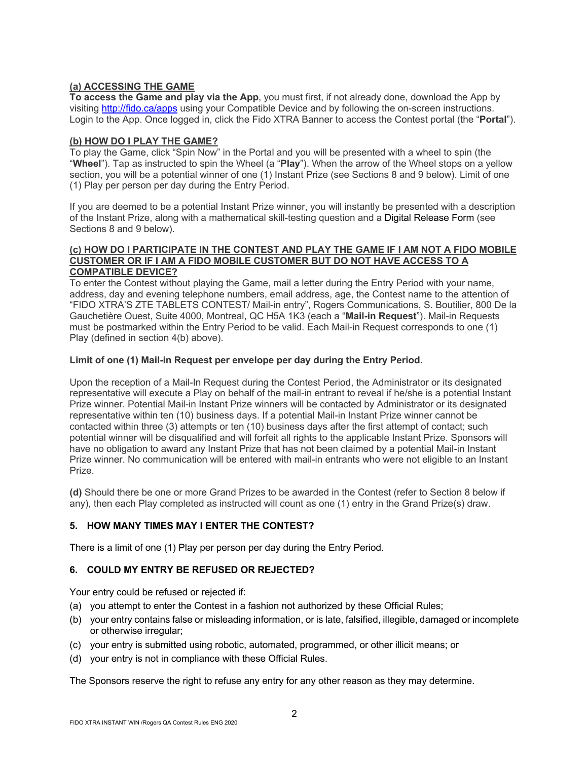# **(a) ACCESSING THE GAME**

**To access the Game and play via the App**, you must first, if not already done, download the App by visiting http://fido.ca/apps using your Compatible Device and by following the on-screen instructions. Login to the App. Once logged in, click the Fido XTRA Banner to access the Contest portal (the "**Portal**").

# **(b) HOW DO I PLAY THE GAME?**

To play the Game, click "Spin Now" in the Portal and you will be presented with a wheel to spin (the "**Wheel**"). Tap as instructed to spin the Wheel (a "**Play**"). When the arrow of the Wheel stops on a yellow section, you will be a potential winner of one (1) Instant Prize (see Sections 8 and 9 below). Limit of one (1) Play per person per day during the Entry Period.

If you are deemed to be a potential Instant Prize winner, you will instantly be presented with a description of the Instant Prize, along with a mathematical skill-testing question and a Digital Release Form (see Sections 8 and 9 below).

#### **(c) HOW DO I PARTICIPATE IN THE CONTEST AND PLAY THE GAME IF I AM NOT A FIDO MOBILE CUSTOMER OR IF I AM A FIDO MOBILE CUSTOMER BUT DO NOT HAVE ACCESS TO A COMPATIBLE DEVICE?**

To enter the Contest without playing the Game, mail a letter during the Entry Period with your name, address, day and evening telephone numbers, email address, age, the Contest name to the attention of "FIDO XTRA'S ZTE TABLETS CONTEST/ Mail-in entry", Rogers Communications, S. Boutilier, 800 De la Gauchetière Ouest, Suite 4000, Montreal, QC H5A 1K3 (each a "**Mail-in Request**"). Mail-in Requests must be postmarked within the Entry Period to be valid. Each Mail-in Request corresponds to one (1) Play (defined in section 4(b) above).

## **Limit of one (1) Mail-in Request per envelope per day during the Entry Period.**

Upon the reception of a Mail-In Request during the Contest Period, the Administrator or its designated representative will execute a Play on behalf of the mail-in entrant to reveal if he/she is a potential Instant Prize winner. Potential Mail-in Instant Prize winners will be contacted by Administrator or its designated representative within ten (10) business days. If a potential Mail-in Instant Prize winner cannot be contacted within three (3) attempts or ten (10) business days after the first attempt of contact; such potential winner will be disqualified and will forfeit all rights to the applicable Instant Prize. Sponsors will have no obligation to award any Instant Prize that has not been claimed by a potential Mail-in Instant Prize winner. No communication will be entered with mail-in entrants who were not eligible to an Instant Prize.

**(d)** Should there be one or more Grand Prizes to be awarded in the Contest (refer to Section 8 below if any), then each Play completed as instructed will count as one (1) entry in the Grand Prize(s) draw.

# **5. HOW MANY TIMES MAY I ENTER THE CONTEST?**

There is a limit of one (1) Play per person per day during the Entry Period.

# **6. COULD MY ENTRY BE REFUSED OR REJECTED?**

Your entry could be refused or rejected if:

- (a) you attempt to enter the Contest in a fashion not authorized by these Official Rules;
- (b) your entry contains false or misleading information, or is late, falsified, illegible, damaged or incomplete or otherwise irregular;
- (c) your entry is submitted using robotic, automated, programmed, or other illicit means; or
- (d) your entry is not in compliance with these Official Rules.

The Sponsors reserve the right to refuse any entry for any other reason as they may determine.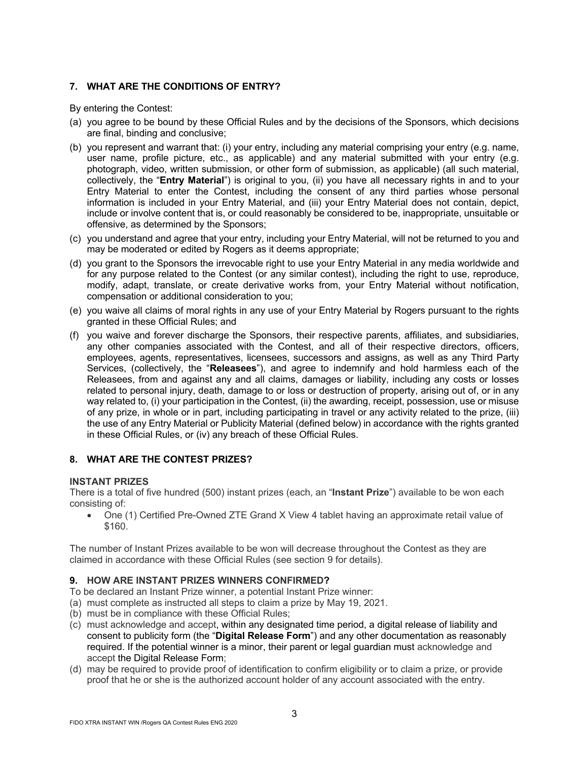# **7. WHAT ARE THE CONDITIONS OF ENTRY?**

By entering the Contest:

- (a) you agree to be bound by these Official Rules and by the decisions of the Sponsors, which decisions are final, binding and conclusive;
- (b) you represent and warrant that: (i) your entry, including any material comprising your entry (e.g. name, user name, profile picture, etc., as applicable) and any material submitted with your entry (e.g. photograph, video, written submission, or other form of submission, as applicable) (all such material, collectively, the "**Entry Material**") is original to you, (ii) you have all necessary rights in and to your Entry Material to enter the Contest, including the consent of any third parties whose personal information is included in your Entry Material, and (iii) your Entry Material does not contain, depict, include or involve content that is, or could reasonably be considered to be, inappropriate, unsuitable or offensive, as determined by the Sponsors;
- (c) you understand and agree that your entry, including your Entry Material, will not be returned to you and may be moderated or edited by Rogers as it deems appropriate;
- (d) you grant to the Sponsors the irrevocable right to use your Entry Material in any media worldwide and for any purpose related to the Contest (or any similar contest), including the right to use, reproduce, modify, adapt, translate, or create derivative works from, your Entry Material without notification, compensation or additional consideration to you;
- (e) you waive all claims of moral rights in any use of your Entry Material by Rogers pursuant to the rights granted in these Official Rules; and
- (f) you waive and forever discharge the Sponsors, their respective parents, affiliates, and subsidiaries, any other companies associated with the Contest, and all of their respective directors, officers, employees, agents, representatives, licensees, successors and assigns, as well as any Third Party Services, (collectively, the "**Releasees**"), and agree to indemnify and hold harmless each of the Releasees, from and against any and all claims, damages or liability, including any costs or losses related to personal injury, death, damage to or loss or destruction of property, arising out of, or in any way related to, (i) your participation in the Contest, (ii) the awarding, receipt, possession, use or misuse of any prize, in whole or in part, including participating in travel or any activity related to the prize, (iii) the use of any Entry Material or Publicity Material (defined below) in accordance with the rights granted in these Official Rules, or (iv) any breach of these Official Rules.

## **8. WHAT ARE THE CONTEST PRIZES?**

## **INSTANT PRIZES**

There is a total of five hundred (500) instant prizes (each, an "**Instant Prize**") available to be won each consisting of:

• One (1) Certified Pre-Owned ZTE Grand X View 4 tablet having an approximate retail value of \$160.

The number of Instant Prizes available to be won will decrease throughout the Contest as they are claimed in accordance with these Official Rules (see section 9 for details).

## **9. HOW ARE INSTANT PRIZES WINNERS CONFIRMED?**

To be declared an Instant Prize winner, a potential Instant Prize winner:

- (a) must complete as instructed all steps to claim a prize by May 19, 2021.
- (b) must be in compliance with these Official Rules;
- (c) must acknowledge and accept, within any designated time period, a digital release of liability and consent to publicity form (the "**Digital Release Form**") and any other documentation as reasonably required. If the potential winner is a minor, their parent or legal guardian must acknowledge and accept the Digital Release Form;
- (d) may be required to provide proof of identification to confirm eligibility or to claim a prize, or provide proof that he or she is the authorized account holder of any account associated with the entry.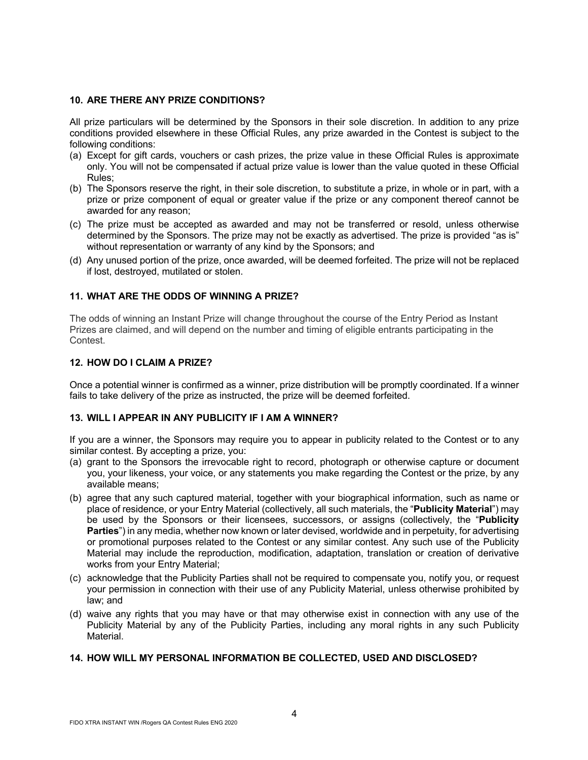### **10. ARE THERE ANY PRIZE CONDITIONS?**

All prize particulars will be determined by the Sponsors in their sole discretion. In addition to any prize conditions provided elsewhere in these Official Rules, any prize awarded in the Contest is subject to the following conditions:

- (a) Except for gift cards, vouchers or cash prizes, the prize value in these Official Rules is approximate only. You will not be compensated if actual prize value is lower than the value quoted in these Official Rules;
- (b) The Sponsors reserve the right, in their sole discretion, to substitute a prize, in whole or in part, with a prize or prize component of equal or greater value if the prize or any component thereof cannot be awarded for any reason;
- (c) The prize must be accepted as awarded and may not be transferred or resold, unless otherwise determined by the Sponsors. The prize may not be exactly as advertised. The prize is provided "as is" without representation or warranty of any kind by the Sponsors; and
- (d) Any unused portion of the prize, once awarded, will be deemed forfeited. The prize will not be replaced if lost, destroyed, mutilated or stolen.

## **11. WHAT ARE THE ODDS OF WINNING A PRIZE?**

The odds of winning an Instant Prize will change throughout the course of the Entry Period as Instant Prizes are claimed, and will depend on the number and timing of eligible entrants participating in the Contest.

#### **12. HOW DO I CLAIM A PRIZE?**

Once a potential winner is confirmed as a winner, prize distribution will be promptly coordinated. If a winner fails to take delivery of the prize as instructed, the prize will be deemed forfeited.

#### **13. WILL I APPEAR IN ANY PUBLICITY IF I AM A WINNER?**

If you are a winner, the Sponsors may require you to appear in publicity related to the Contest or to any similar contest. By accepting a prize, you:

- (a) grant to the Sponsors the irrevocable right to record, photograph or otherwise capture or document you, your likeness, your voice, or any statements you make regarding the Contest or the prize, by any available means;
- (b) agree that any such captured material, together with your biographical information, such as name or place of residence, or your Entry Material (collectively, all such materials, the "**Publicity Material**") may be used by the Sponsors or their licensees, successors, or assigns (collectively, the "**Publicity Parties**") in any media, whether now known or later devised, worldwide and in perpetuity, for advertising or promotional purposes related to the Contest or any similar contest. Any such use of the Publicity Material may include the reproduction, modification, adaptation, translation or creation of derivative works from your Entry Material;
- (c) acknowledge that the Publicity Parties shall not be required to compensate you, notify you, or request your permission in connection with their use of any Publicity Material, unless otherwise prohibited by law; and
- (d) waive any rights that you may have or that may otherwise exist in connection with any use of the Publicity Material by any of the Publicity Parties, including any moral rights in any such Publicity Material.

#### **14. HOW WILL MY PERSONAL INFORMATION BE COLLECTED, USED AND DISCLOSED?**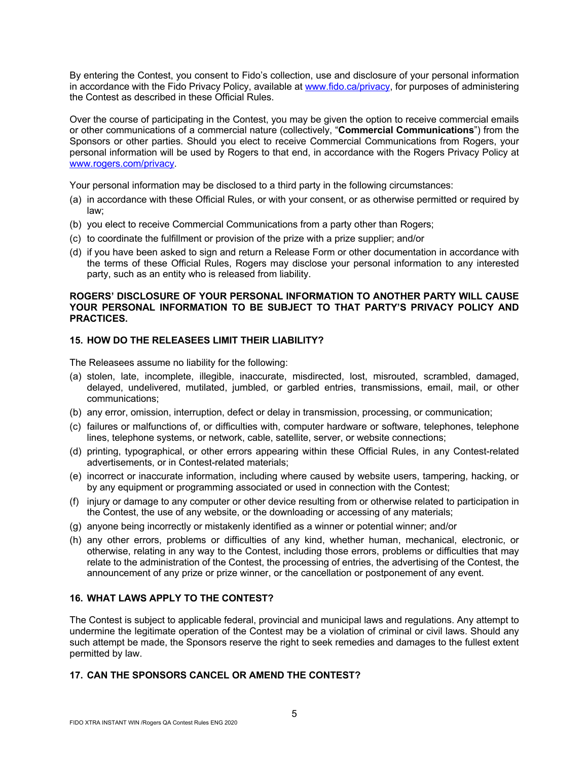By entering the Contest, you consent to Fido's collection, use and disclosure of your personal information in accordance with the Fido Privacy Policy, available at www.fido.ca/privacy, for purposes of administering the Contest as described in these Official Rules.

Over the course of participating in the Contest, you may be given the option to receive commercial emails or other communications of a commercial nature (collectively, "**Commercial Communications**") from the Sponsors or other parties. Should you elect to receive Commercial Communications from Rogers, your personal information will be used by Rogers to that end, in accordance with the Rogers Privacy Policy at www.rogers.com/privacy.

Your personal information may be disclosed to a third party in the following circumstances:

- (a) in accordance with these Official Rules, or with your consent, or as otherwise permitted or required by law;
- (b) you elect to receive Commercial Communications from a party other than Rogers;
- (c) to coordinate the fulfillment or provision of the prize with a prize supplier; and/or
- (d) if you have been asked to sign and return a Release Form or other documentation in accordance with the terms of these Official Rules, Rogers may disclose your personal information to any interested party, such as an entity who is released from liability.

#### **ROGERS' DISCLOSURE OF YOUR PERSONAL INFORMATION TO ANOTHER PARTY WILL CAUSE YOUR PERSONAL INFORMATION TO BE SUBJECT TO THAT PARTY'S PRIVACY POLICY AND PRACTICES.**

## **15. HOW DO THE RELEASEES LIMIT THEIR LIABILITY?**

The Releasees assume no liability for the following:

- (a) stolen, late, incomplete, illegible, inaccurate, misdirected, lost, misrouted, scrambled, damaged, delayed, undelivered, mutilated, jumbled, or garbled entries, transmissions, email, mail, or other communications;
- (b) any error, omission, interruption, defect or delay in transmission, processing, or communication;
- (c) failures or malfunctions of, or difficulties with, computer hardware or software, telephones, telephone lines, telephone systems, or network, cable, satellite, server, or website connections;
- (d) printing, typographical, or other errors appearing within these Official Rules, in any Contest-related advertisements, or in Contest-related materials;
- (e) incorrect or inaccurate information, including where caused by website users, tampering, hacking, or by any equipment or programming associated or used in connection with the Contest;
- (f) injury or damage to any computer or other device resulting from or otherwise related to participation in the Contest, the use of any website, or the downloading or accessing of any materials;
- (g) anyone being incorrectly or mistakenly identified as a winner or potential winner; and/or
- (h) any other errors, problems or difficulties of any kind, whether human, mechanical, electronic, or otherwise, relating in any way to the Contest, including those errors, problems or difficulties that may relate to the administration of the Contest, the processing of entries, the advertising of the Contest, the announcement of any prize or prize winner, or the cancellation or postponement of any event.

# **16. WHAT LAWS APPLY TO THE CONTEST?**

The Contest is subject to applicable federal, provincial and municipal laws and regulations. Any attempt to undermine the legitimate operation of the Contest may be a violation of criminal or civil laws. Should any such attempt be made, the Sponsors reserve the right to seek remedies and damages to the fullest extent permitted by law.

# **17. CAN THE SPONSORS CANCEL OR AMEND THE CONTEST?**